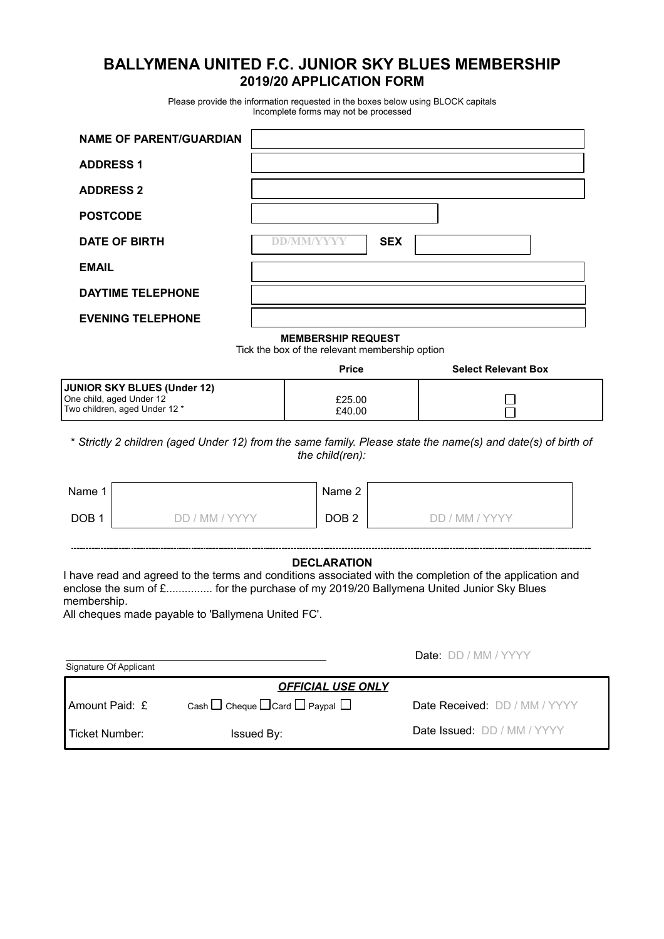# **BALLYMENA UNITED F.C. JUNIOR SKY BLUES MEMBERSHIP 2019/20 APPLICATION FORM**

Please provide the information requested in the boxes below using BLOCK capitals Incomplete forms may not be processed

| <b>NAME OF PARENT/GUARDIAN</b>                                                           |                                                                             |                            |
|------------------------------------------------------------------------------------------|-----------------------------------------------------------------------------|----------------------------|
| <b>ADDRESS 1</b>                                                                         |                                                                             |                            |
| <b>ADDRESS 2</b>                                                                         |                                                                             |                            |
| <b>POSTCODE</b>                                                                          |                                                                             |                            |
| <b>DATE OF BIRTH</b>                                                                     | <b>SEX</b><br><b>DD/MM/VYYY</b>                                             |                            |
| <b>EMAIL</b>                                                                             |                                                                             |                            |
| <b>DAYTIME TELEPHONE</b>                                                                 |                                                                             |                            |
| <b>EVENING TELEPHONE</b>                                                                 |                                                                             |                            |
|                                                                                          | <b>MEMBERSHIP REQUEST</b><br>Tick the box of the relevant membership option |                            |
|                                                                                          | <b>Price</b>                                                                | <b>Select Relevant Box</b> |
| JUNIOR SKY BLUES (Under 12)<br>One child, aged Under 12<br>Two children, aged Under 12 * | £25.00<br>£40.00                                                            |                            |
|                                                                                          |                                                                             |                            |

\* *Strictly 2 children (aged Under 12) from the same family. Please state the name(s) and date(s) of birth of the child(ren):*

| Name 1           |             | Name 2           |                       |
|------------------|-------------|------------------|-----------------------|
| DOB <sub>1</sub> | ' mm / yyyy | DOB <sub>2</sub> | ' ' MM / YYYY<br>11.1 |

#### **DECLARATION**

I have read and agreed to the terms and conditions associated with the completion of the application and enclose the sum of £................ for the purchase of my 2019/20 Ballymena United Junior Sky Blues membership.

All cheques made payable to 'Ballymena United FC'.

| Signature Of Applicant |                                                     | <b>Date:</b> DD / MM / YYYY   |
|------------------------|-----------------------------------------------------|-------------------------------|
|                        | <b>OFFICIAL USE ONLY</b>                            |                               |
| <b>LAmount Paid: £</b> | Cash $\Box$ Cheque $\Box$ Card $\Box$ Paypal $\Box$ | Date Received: DD / MM / YYYY |
| I Ticket Number:       | Issued By:                                          | Date Issued: DD / MM / YYYY   |